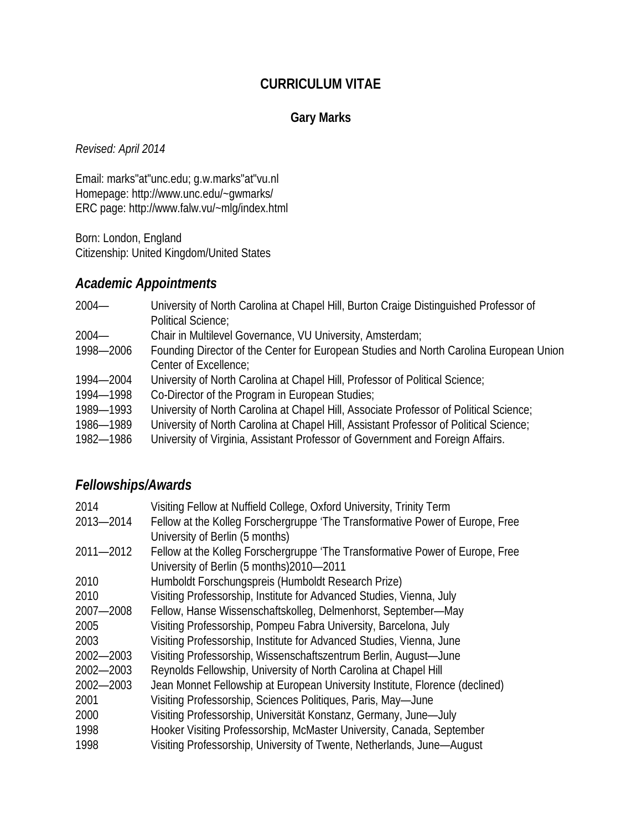#### **CURRICULUM VITAE**

### **Gary Marks**

*Revised: April 2014*

Email: marks"at"unc.edu; g.w.marks"at"vu.nl Homepage: http://www.unc.edu/~gwmarks/ ERC page: http://www.falw.vu/~mlg/index.html

Born: London, England Citizenship: United Kingdom/United States

# *Academic Appointments*

| $2004 -$  | University of North Carolina at Chapel Hill, Burton Craige Distinguished Professor of  |  |  |  |
|-----------|----------------------------------------------------------------------------------------|--|--|--|
|           | Political Science;                                                                     |  |  |  |
| $2004 -$  | Chair in Multilevel Governance, VU University, Amsterdam;                              |  |  |  |
| 1998-2006 | Founding Director of the Center for European Studies and North Carolina European Union |  |  |  |
|           | Center of Excellence;                                                                  |  |  |  |
| 1994-2004 | University of North Carolina at Chapel Hill, Professor of Political Science;           |  |  |  |
| 1994-1998 | Co-Director of the Program in European Studies;                                        |  |  |  |
| 1989-1993 | University of North Carolina at Chapel Hill, Associate Professor of Political Science; |  |  |  |
| 1986-1989 | University of North Carolina at Chapel Hill, Assistant Professor of Political Science; |  |  |  |
| 1982-1986 | University of Virginia, Assistant Professor of Government and Foreign Affairs.         |  |  |  |

### *Fellowships/Awards*

| 2014          | Visiting Fellow at Nuffield College, Oxford University, Trinity Term          |  |  |
|---------------|-------------------------------------------------------------------------------|--|--|
| 2013-2014     | Fellow at the Kolleg Forschergruppe 'The Transformative Power of Europe, Free |  |  |
|               | University of Berlin (5 months)                                               |  |  |
| $2011 - 2012$ | Fellow at the Kolleg Forschergruppe 'The Transformative Power of Europe, Free |  |  |
|               | University of Berlin (5 months) 2010-2011                                     |  |  |
| 2010          | Humboldt Forschungspreis (Humboldt Research Prize)                            |  |  |
| 2010          | Visiting Professorship, Institute for Advanced Studies, Vienna, July          |  |  |
| 2007-2008     | Fellow, Hanse Wissenschaftskolleg, Delmenhorst, September-May                 |  |  |
| 2005          | Visiting Professorship, Pompeu Fabra University, Barcelona, July              |  |  |
| 2003          | Visiting Professorship, Institute for Advanced Studies, Vienna, June          |  |  |
| 2002-2003     | Visiting Professorship, Wissenschaftszentrum Berlin, August-June              |  |  |
| 2002-2003     | Reynolds Fellowship, University of North Carolina at Chapel Hill              |  |  |
| 2002-2003     | Jean Monnet Fellowship at European University Institute, Florence (declined)  |  |  |
| 2001          | Visiting Professorship, Sciences Politiques, Paris, May-June                  |  |  |
| 2000          | Visiting Professorship, Universität Konstanz, Germany, June-July              |  |  |
| 1998          | Hooker Visiting Professorship, McMaster University, Canada, September         |  |  |
| 1998          | Visiting Professorship, University of Twente, Netherlands, June-August        |  |  |
|               |                                                                               |  |  |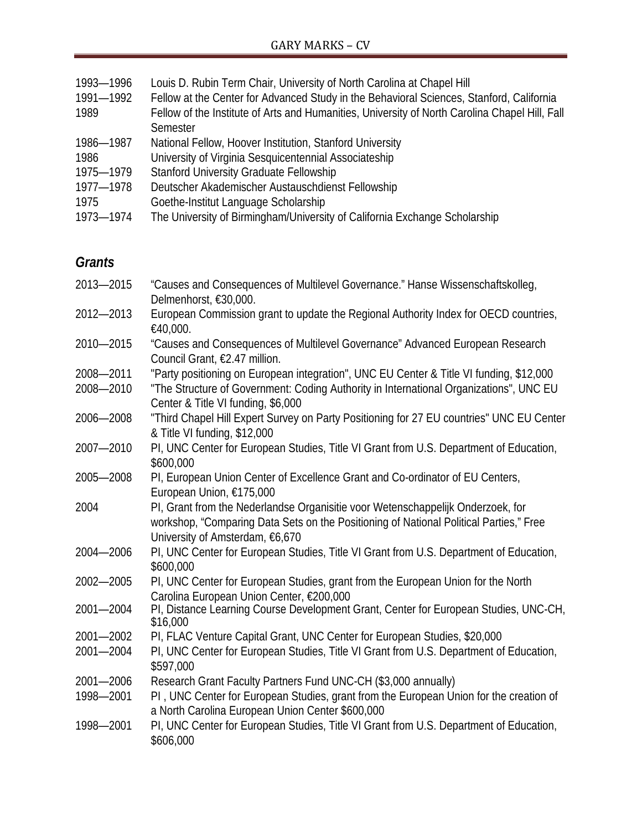| 1993-1996 | Louis D. Rubin Term Chair, University of North Carolina at Chapel Hill                         |  |  |  |
|-----------|------------------------------------------------------------------------------------------------|--|--|--|
| 1991-1992 | Fellow at the Center for Advanced Study in the Behavioral Sciences, Stanford, California       |  |  |  |
| 1989      | Fellow of the Institute of Arts and Humanities, University of North Carolina Chapel Hill, Fall |  |  |  |
|           | Semester                                                                                       |  |  |  |
| 1986-1987 | National Fellow, Hoover Institution, Stanford University                                       |  |  |  |
| 1986      | University of Virginia Sesquicentennial Associateship                                          |  |  |  |
| 1975-1979 | <b>Stanford University Graduate Fellowship</b>                                                 |  |  |  |
| 1977-1978 | Deutscher Akademischer Austauschdienst Fellowship                                              |  |  |  |
| 1975      | Goethe-Institut Language Scholarship                                                           |  |  |  |
| 1973-1974 | The University of Birmingham/University of California Exchange Scholarship                     |  |  |  |

# *Grants*

| 2013-2015 | "Causes and Consequences of Multilevel Governance." Hanse Wissenschaftskolleg,<br>Delmenhorst, €30,000.                                                                                                      |  |  |
|-----------|--------------------------------------------------------------------------------------------------------------------------------------------------------------------------------------------------------------|--|--|
| 2012-2013 | European Commission grant to update the Regional Authority Index for OECD countries,<br>€40,000.                                                                                                             |  |  |
| 2010-2015 | "Causes and Consequences of Multilevel Governance" Advanced European Research<br>Council Grant, €2.47 million.                                                                                               |  |  |
| 2008-2011 | "Party positioning on European integration", UNC EU Center & Title VI funding, \$12,000                                                                                                                      |  |  |
| 2008-2010 | "The Structure of Government: Coding Authority in International Organizations", UNC EU<br>Center & Title VI funding, \$6,000                                                                                 |  |  |
| 2006-2008 | "Third Chapel Hill Expert Survey on Party Positioning for 27 EU countries" UNC EU Center<br>& Title VI funding, \$12,000                                                                                     |  |  |
| 2007-2010 | PI, UNC Center for European Studies, Title VI Grant from U.S. Department of Education,<br>\$600,000                                                                                                          |  |  |
| 2005-2008 | PI, European Union Center of Excellence Grant and Co-ordinator of EU Centers,<br>European Union, €175,000                                                                                                    |  |  |
| 2004      | PI, Grant from the Nederlandse Organisitie voor Wetenschappelijk Onderzoek, for<br>workshop, "Comparing Data Sets on the Positioning of National Political Parties," Free<br>University of Amsterdam, €6,670 |  |  |
| 2004-2006 | PI, UNC Center for European Studies, Title VI Grant from U.S. Department of Education,<br>\$600,000                                                                                                          |  |  |
| 2002-2005 | PI, UNC Center for European Studies, grant from the European Union for the North<br>Carolina European Union Center, €200,000                                                                                 |  |  |
| 2001-2004 | PI, Distance Learning Course Development Grant, Center for European Studies, UNC-CH,<br>\$16,000                                                                                                             |  |  |
| 2001-2002 | PI, FLAC Venture Capital Grant, UNC Center for European Studies, \$20,000                                                                                                                                    |  |  |
| 2001-2004 | PI, UNC Center for European Studies, Title VI Grant from U.S. Department of Education,<br>\$597,000                                                                                                          |  |  |
| 2001-2006 | Research Grant Faculty Partners Fund UNC-CH (\$3,000 annually)                                                                                                                                               |  |  |
| 1998-2001 | PI, UNC Center for European Studies, grant from the European Union for the creation of<br>a North Carolina European Union Center \$600,000                                                                   |  |  |
| 1998-2001 | PI, UNC Center for European Studies, Title VI Grant from U.S. Department of Education,<br>\$606,000                                                                                                          |  |  |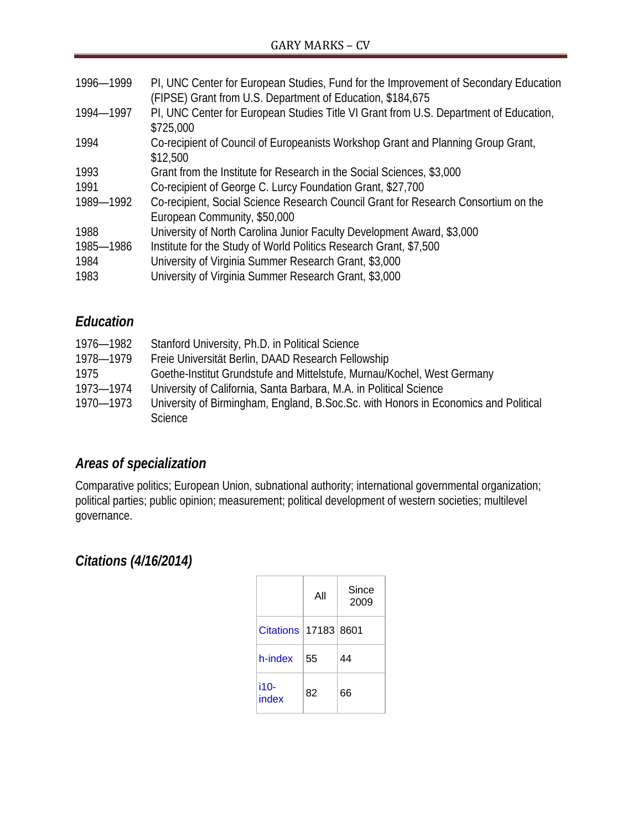| 1996-1999 | PI, UNC Center for European Studies, Fund for the Improvement of Secondary Education<br>(FIPSE) Grant from U.S. Department of Education, \$184,675 |  |  |
|-----------|----------------------------------------------------------------------------------------------------------------------------------------------------|--|--|
| 1994-1997 | PI, UNC Center for European Studies Title VI Grant from U.S. Department of Education,<br>\$725,000                                                 |  |  |
| 1994      | Co-recipient of Council of Europeanists Workshop Grant and Planning Group Grant,<br>\$12,500                                                       |  |  |
| 1993      | Grant from the Institute for Research in the Social Sciences, \$3,000                                                                              |  |  |
| 1991      | Co-recipient of George C. Lurcy Foundation Grant, \$27,700                                                                                         |  |  |
| 1989-1992 | Co-recipient, Social Science Research Council Grant for Research Consortium on the<br>European Community, \$50,000                                 |  |  |
| 1988      | University of North Carolina Junior Faculty Development Award, \$3,000                                                                             |  |  |
| 1985-1986 | Institute for the Study of World Politics Research Grant, \$7,500                                                                                  |  |  |
| 1984      | University of Virginia Summer Research Grant, \$3,000                                                                                              |  |  |
| 1983      | University of Virginia Summer Research Grant, \$3,000                                                                                              |  |  |

# *Education*

| 1976—1982 | Stanford University, Ph.D. in Political Science                                     |
|-----------|-------------------------------------------------------------------------------------|
| 1978-1979 | Freie Universität Berlin, DAAD Research Fellowship                                  |
| 1975      | Goethe-Institut Grundstufe and Mittelstufe, Murnau/Kochel, West Germany             |
| 1973-1974 | University of California, Santa Barbara, M.A. in Political Science                  |
| 1970-1973 | University of Birmingham, England, B.Soc.Sc. with Honors in Economics and Political |
|           | <b>Science</b>                                                                      |

# *Areas of specialization*

Comparative politics; European Union, subnational authority; international governmental organization; political parties; public opinion; measurement; political development of western societies; multilevel governance.

# *Citations (4/16/2014)*

|                          | All | Since<br>2009 |
|--------------------------|-----|---------------|
| Citations   17183   8601 |     |               |
| h-index                  | 55  | 44            |
| i10-<br>index            | 82  | 66            |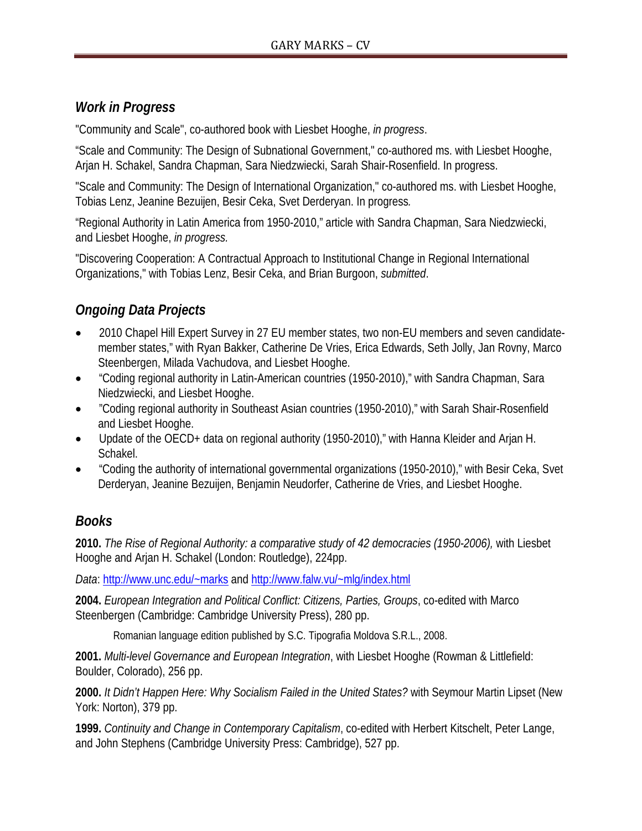### *Work in Progress*

"Community and Scale", co-authored book with Liesbet Hooghe, *in progress*.

"Scale and Community: The Design of Subnational Government," co-authored ms. with Liesbet Hooghe, Arjan H. Schakel, Sandra Chapman, Sara Niedzwiecki, Sarah Shair-Rosenfield. In progress.

"Scale and Community: The Design of International Organization," co-authored ms. with Liesbet Hooghe, Tobias Lenz, Jeanine Bezuijen, Besir Ceka, Svet Derderyan. In progress*.*

"Regional Authority in Latin America from 1950-2010," article with Sandra Chapman, Sara Niedzwiecki, and Liesbet Hooghe, *in progress.*

"Discovering Cooperation: A Contractual Approach to Institutional Change in Regional International Organizations," with Tobias Lenz, Besir Ceka, and Brian Burgoon, *submitted*.

# *Ongoing Data Projects*

- 2010 Chapel Hill Expert Survey in 27 EU member states, two non-EU members and seven candidatemember states," with Ryan Bakker, Catherine De Vries, Erica Edwards, Seth Jolly, Jan Rovny, Marco Steenbergen, Milada Vachudova, and Liesbet Hooghe.
- "Coding regional authority in Latin-American countries (1950-2010)," with Sandra Chapman, Sara Niedzwiecki, and Liesbet Hooghe.
- "Coding regional authority in Southeast Asian countries (1950-2010)," with Sarah Shair-Rosenfield and Liesbet Hooghe.
- Update of the OECD+ data on regional authority (1950-2010)," with Hanna Kleider and Arjan H. Schakel.
- "Coding the authority of international governmental organizations (1950-2010)," with Besir Ceka, Svet Derderyan, Jeanine Bezuijen, Benjamin Neudorfer, Catherine de Vries, and Liesbet Hooghe.

# *Books*

**2010.** *The Rise of Regional Authority: a comparative study of 42 democracies (1950-2006),* with Liesbet Hooghe and Arjan H. Schakel (London: Routledge), 224pp.

*Data*: [http://www.unc.edu/~m](http://www.unc.edu/~)arks and<http://www.falw.vu/~mlg/index.html>

**2004.** *European Integration and Political Conflict: Citizens, Parties, Groups*, co-edited with Marco Steenbergen (Cambridge: Cambridge University Press), 280 pp.

Romanian language edition published by S.C. Tipografia Moldova S.R.L., 2008.

**2001.** *Multi-level Governance and European Integration*, with Liesbet Hooghe (Rowman & Littlefield: Boulder, Colorado), 256 pp.

**2000.** *It Didn't Happen Here: Why Socialism Failed in the United States?* with Seymour Martin Lipset (New York: Norton), 379 pp.

**1999.** *Continuity and Change in Contemporary Capitalism*, co-edited with Herbert Kitschelt, Peter Lange, and John Stephens (Cambridge University Press: Cambridge), 527 pp.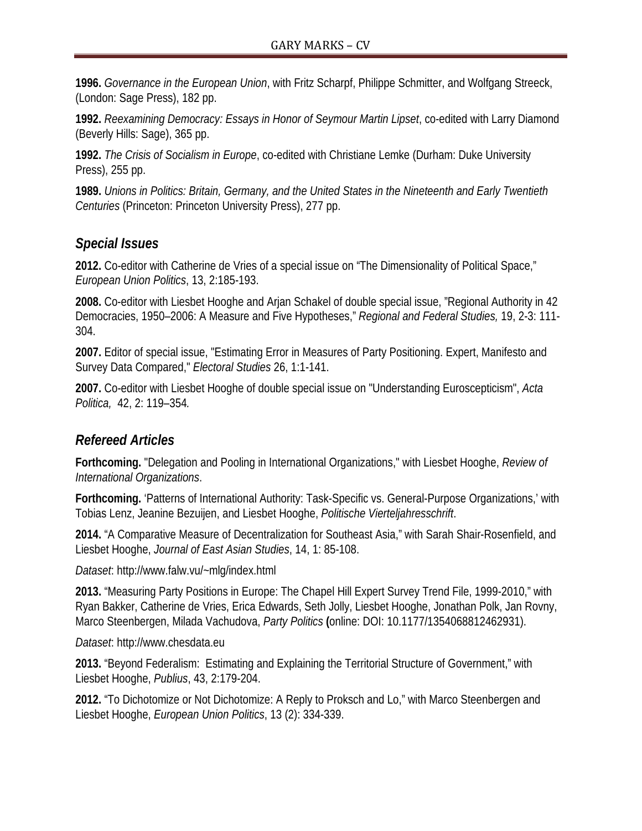**1996.** *Governance in the European Union*, with Fritz Scharpf, Philippe Schmitter, and Wolfgang Streeck, (London: Sage Press), 182 pp.

**1992.** *Reexamining Democracy: Essays in Honor of Seymour Martin Lipset*, co-edited with Larry Diamond (Beverly Hills: Sage), 365 pp.

**1992.** *The Crisis of Socialism in Europe*, co-edited with Christiane Lemke (Durham: Duke University Press), 255 pp.

**1989.** *Unions in Politics: Britain, Germany, and the United States in the Nineteenth and Early Twentieth Centuries* (Princeton: Princeton University Press), 277 pp.

#### *Special Issues*

**2012.** Co-editor with Catherine de Vries of a special issue on "The Dimensionality of Political Space," *European Union Politics*, 13, 2:185-193.

**2008.** Co-editor with Liesbet Hooghe and Arjan Schakel of double special issue, "Regional Authority in 42 Democracies, 1950–2006: A Measure and Five Hypotheses," *Regional and Federal Studies,* 19, 2-3: 111- 304.

**2007.** Editor of special issue, "Estimating Error in Measures of Party Positioning. Expert, Manifesto and Survey Data Compared," *Electoral Studies* 26, 1:1-141.

**2007.** Co-editor with Liesbet Hooghe of double special issue on "Understanding Euroscepticism", *Acta Politica,* 42, 2: 119–354*.*

# *Refereed Articles*

**Forthcoming.** "Delegation and Pooling in International Organizations," with Liesbet Hooghe, *Review of International Organizations*.

**Forthcoming.** 'Patterns of International Authority: Task-Specific vs. General-Purpose Organizations,' with Tobias Lenz, Jeanine Bezuijen, and Liesbet Hooghe, *Politische Vierteljahresschrift*.

**2014.** "A Comparative Measure of Decentralization for Southeast Asia," with Sarah Shair-Rosenfield, and Liesbet Hooghe, *Journal of East Asian Studies*, 14, 1: 85-108.

*Dataset*: http://www.falw.vu/~mlg/index.html

**2013.** "Measuring Party Positions in Europe: The Chapel Hill Expert Survey Trend File, 1999-2010," with Ryan Bakker, Catherine de Vries, Erica Edwards, Seth Jolly, Liesbet Hooghe, Jonathan Polk, Jan Rovny, Marco Steenbergen, Milada Vachudova, *Party Politics* **(**online: DOI: 10.1177/1354068812462931).

*Dataset*: http://www.chesdata.eu

**2013.** "Beyond Federalism: Estimating and Explaining the Territorial Structure of Government," with Liesbet Hooghe, *Publius*, 43, 2:179-204.

**2012.** "To Dichotomize or Not Dichotomize: A Reply to Proksch and Lo," with Marco Steenbergen and Liesbet Hooghe, *European Union Politics*, 13 (2): 334-339.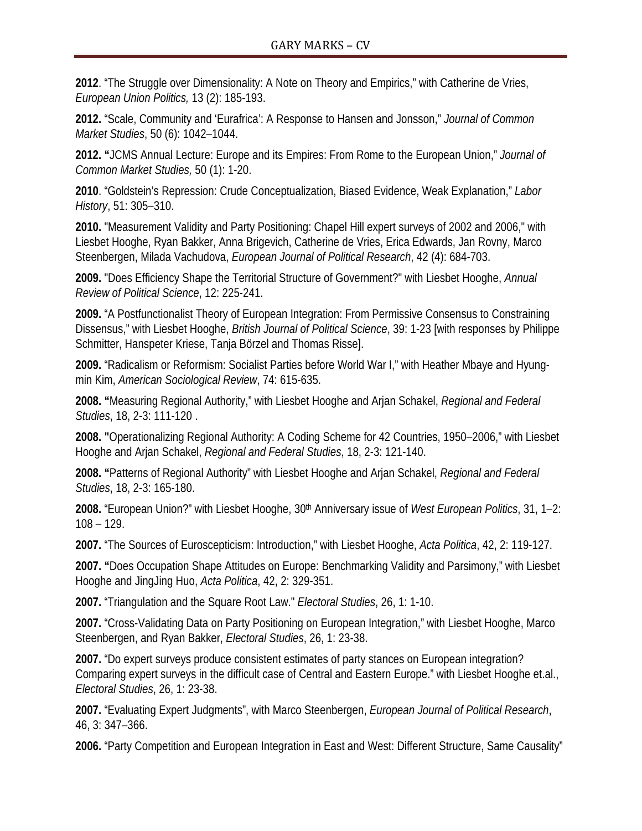**2012**. "The Struggle over Dimensionality: A Note on Theory and Empirics," with Catherine de Vries, *European Union Politics,* 13 (2): 185-193.

**2012.** "Scale, Community and 'Eurafrica': A Response to Hansen and Jonsson," *Journal of Common Market Studies*, 50 (6): 1042–1044.

**2012. "**JCMS Annual Lecture: Europe and its Empires: From Rome to the European Union," *Journal of Common Market Studies,* 50 (1): 1-20.

**2010**. "Goldstein's Repression: Crude Conceptualization, Biased Evidence, Weak Explanation," *Labor History*, 51: 305–310.

**2010.** "Measurement Validity and Party Positioning: Chapel Hill expert surveys of 2002 and 2006," with Liesbet Hooghe, Ryan Bakker, Anna Brigevich, Catherine de Vries, Erica Edwards, Jan Rovny, Marco Steenbergen, Milada Vachudova, *European Journal of Political Research*, 42 (4): 684-703.

**2009.** "Does Efficiency Shape the Territorial Structure of Government?" with Liesbet Hooghe, *Annual Review of Political Science*, 12: 225-241.

**2009.** "A Postfunctionalist Theory of European Integration: From Permissive Consensus to Constraining Dissensus," with Liesbet Hooghe, *British Journal of Political Science*, 39: 1-23 [with responses by Philippe Schmitter, Hanspeter Kriese, Tanja Börzel and Thomas Risse].

**2009.** "Radicalism or Reformism: Socialist Parties before World War I," with Heather Mbaye and Hyungmin Kim, *American Sociological Review*, 74: 615-635.

**2008. "**Measuring Regional Authority," with Liesbet Hooghe and Arjan Schakel, *Regional and Federal Studies*, 18, 2-3: 111-120 .

**2008. "**Operationalizing Regional Authority: A Coding Scheme for 42 Countries, 1950–2006," with Liesbet Hooghe and Arjan Schakel, *Regional and Federal Studies*, 18, 2-3: 121-140.

**2008. "**Patterns of Regional Authority" with Liesbet Hooghe and Arjan Schakel, *Regional and Federal Studies*, 18, 2-3: 165-180.

**2008.** "European Union?" with Liesbet Hooghe, 30th Anniversary issue of *West European Politics*, 31, 1–2: 108 – 129.

**2007.** "The Sources of Euroscepticism: Introduction," with Liesbet Hooghe, *Acta Politica*, 42, 2: 119-127.

**2007. "**Does Occupation Shape Attitudes on Europe: Benchmarking Validity and Parsimony," with Liesbet Hooghe and JingJing Huo, *Acta Politica*, 42, 2: 329-351.

**2007.** "Triangulation and the Square Root Law." *Electoral Studies*, 26, 1: 1-10.

**2007.** "Cross-Validating Data on Party Positioning on European Integration," with Liesbet Hooghe, Marco Steenbergen, and Ryan Bakker, *Electoral Studies*, 26, 1: 23-38.

**2007.** "Do expert surveys produce consistent estimates of party stances on European integration? Comparing expert surveys in the difficult case of Central and Eastern Europe." with Liesbet Hooghe et.al., *Electoral Studies*, 26, 1: 23-38.

**2007.** "Evaluating Expert Judgments", with Marco Steenbergen, *European Journal of Political Research*, 46, 3: 347–366.

**2006.** "Party Competition and European Integration in East and West: Different Structure, Same Causality"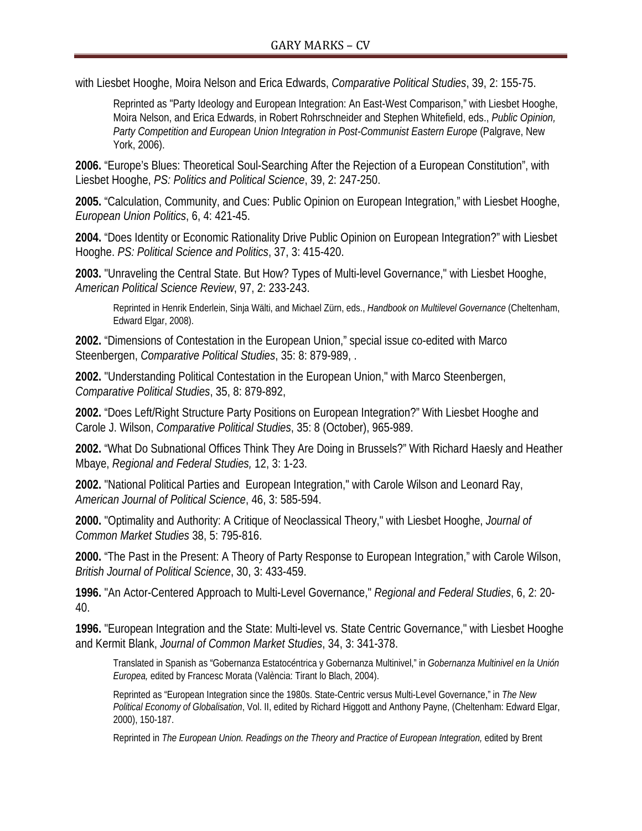with Liesbet Hooghe, Moira Nelson and Erica Edwards, *Comparative Political Studies*, 39, 2: 155-75.

Reprinted as "Party Ideology and European Integration: An East-West Comparison," with Liesbet Hooghe, Moira Nelson, and Erica Edwards, in Robert Rohrschneider and Stephen Whitefield, eds., *Public Opinion, Party Competition and European Union Integration in Post-Communist Eastern Europe* (Palgrave, New York, 2006).

**2006.** "Europe's Blues: Theoretical Soul-Searching After the Rejection of a European Constitution", with Liesbet Hooghe, *PS: Politics and Political Science*, 39, 2: 247-250.

**2005.** "Calculation, Community, and Cues: Public Opinion on European Integration," with Liesbet Hooghe, *European Union Politics*, 6, 4: 421-45.

**2004.** "Does Identity or Economic Rationality Drive Public Opinion on European Integration?" with Liesbet Hooghe. *PS: Political Science and Politics*, 37, 3: 415-420.

**2003.** "Unraveling the Central State. But How? Types of Multi-level Governance," with Liesbet Hooghe, *American Political Science Review*, 97, 2: 233-243.

Reprinted in Henrik Enderlein, Sinja Wälti, and Michael Zürn, eds., *Handbook on Multilevel Governance* (Cheltenham, Edward Elgar, 2008).

**2002.** "Dimensions of Contestation in the European Union," special issue co-edited with Marco Steenbergen, *Comparative Political Studies*, 35: 8: 879-989, .

**2002.** "Understanding Political Contestation in the European Union," with Marco Steenbergen, *Comparative Political Studies*, 35, 8: 879-892,

**2002.** "Does Left/Right Structure Party Positions on European Integration?" With Liesbet Hooghe and Carole J. Wilson, *Comparative Political Studies*, 35: 8 (October), 965-989.

**2002.** "What Do Subnational Offices Think They Are Doing in Brussels?" With Richard Haesly and Heather Mbaye, *Regional and Federal Studies,* 12, 3: 1-23.

**2002.** "National Political Parties and European Integration," with Carole Wilson and Leonard Ray, *American Journal of Political Science*, 46, 3: 585-594.

**2000.** "Optimality and Authority: A Critique of Neoclassical Theory," with Liesbet Hooghe, *Journal of Common Market Studies* 38, 5: 795-816.

**2000.** "The Past in the Present: A Theory of Party Response to European Integration," with Carole Wilson, *British Journal of Political Science*, 30, 3: 433-459.

**1996.** "An Actor-Centered Approach to Multi-Level Governance," *Regional and Federal Studies*, 6, 2: 20- 40.

**1996.** "European Integration and the State: Multi-level vs. State Centric Governance," with Liesbet Hooghe and Kermit Blank, *Journal of Common Market Studies*, 34, 3: 341-378.

Translated in Spanish as "Gobernanza Estatocéntrica y Gobernanza Multinivel," in *Gobernanza Multinivel en la Unión Europea,* edited by Francesc Morata (València: Tirant lo Blach, 2004).

Reprinted as "European Integration since the 1980s. State-Centric versus Multi-Level Governance," in *The New Political Economy of Globalisation*, Vol. II, edited by Richard Higgott and Anthony Payne, (Cheltenham: Edward Elgar, 2000), 150-187.

Reprinted in *The European Union. Readings on the Theory and Practice of European Integration,* edited by Brent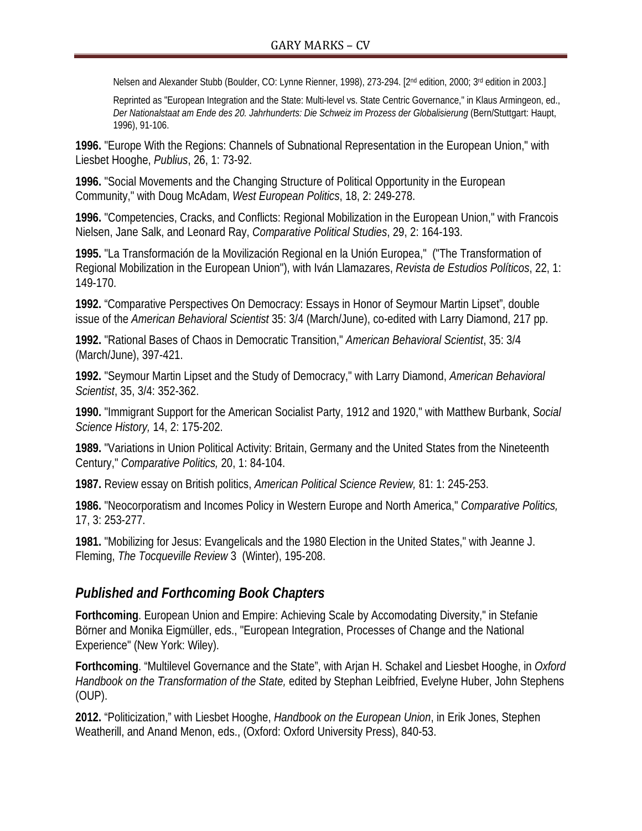Nelsen and Alexander Stubb (Boulder, CO: Lynne Rienner, 1998), 273-294. [2nd edition, 2000; 3rd edition in 2003.]

Reprinted as "European Integration and the State: Multi-level vs. State Centric Governance," in Klaus Armingeon, ed., *Der Nationalstaat am Ende des 20. Jahrhunderts: Die Schweiz im Prozess der Globalisierung* (Bern/Stuttgart: Haupt, 1996), 91-106.

**1996.** "Europe With the Regions: Channels of Subnational Representation in the European Union," with Liesbet Hooghe, *Publius*, 26, 1: 73-92.

**1996.** "Social Movements and the Changing Structure of Political Opportunity in the European Community," with Doug McAdam, *West European Politics*, 18, 2: 249-278.

**1996.** "Competencies, Cracks, and Conflicts: Regional Mobilization in the European Union," with Francois Nielsen, Jane Salk, and Leonard Ray, *Comparative Political Studies*, 29, 2: 164-193.

**1995.** "La Transformación de la Movilización Regional en la Unión Europea," ("The Transformation of Regional Mobilization in the European Union"), with Iván Llamazares, *Revista de Estudios Políticos*, 22, 1: 149-170.

**1992.** "Comparative Perspectives On Democracy: Essays in Honor of Seymour Martin Lipset", double issue of the *American Behavioral Scientist* 35: 3/4 (March/June), co-edited with Larry Diamond, 217 pp.

**1992.** "Rational Bases of Chaos in Democratic Transition," *American Behavioral Scientist*, 35: 3/4 (March/June), 397-421.

**1992.** "Seymour Martin Lipset and the Study of Democracy," with Larry Diamond, *American Behavioral Scientist*, 35, 3/4: 352-362.

**1990.** "Immigrant Support for the American Socialist Party, 1912 and 1920," with Matthew Burbank, *Social Science History,* 14, 2: 175-202.

**1989.** "Variations in Union Political Activity: Britain, Germany and the United States from the Nineteenth Century," *Comparative Politics,* 20, 1: 84-104.

**1987.** Review essay on British politics, *American Political Science Review,* 81: 1: 245-253.

**1986.** "Neocorporatism and Incomes Policy in Western Europe and North America," *Comparative Politics,*  17, 3: 253-277.

**1981.** "Mobilizing for Jesus: Evangelicals and the 1980 Election in the United States," with Jeanne J. Fleming, *The Tocqueville Review* 3 (Winter), 195-208.

#### *Published and Forthcoming Book Chapters*

**Forthcoming**. European Union and Empire: Achieving Scale by Accomodating Diversity," in Stefanie Börner and Monika Eigmüller, eds., "European Integration, Processes of Change and the National Experience" (New York: Wiley).

**Forthcoming**. "Multilevel Governance and the State", with Arjan H. Schakel and Liesbet Hooghe, in *Oxford Handbook on the Transformation of the State,* edited by Stephan Leibfried, Evelyne Huber, John Stephens (OUP).

**2012.** "Politicization," with Liesbet Hooghe, *Handbook on the European Union*, in Erik Jones, Stephen Weatherill, and Anand Menon, eds., (Oxford: Oxford University Press), 840-53.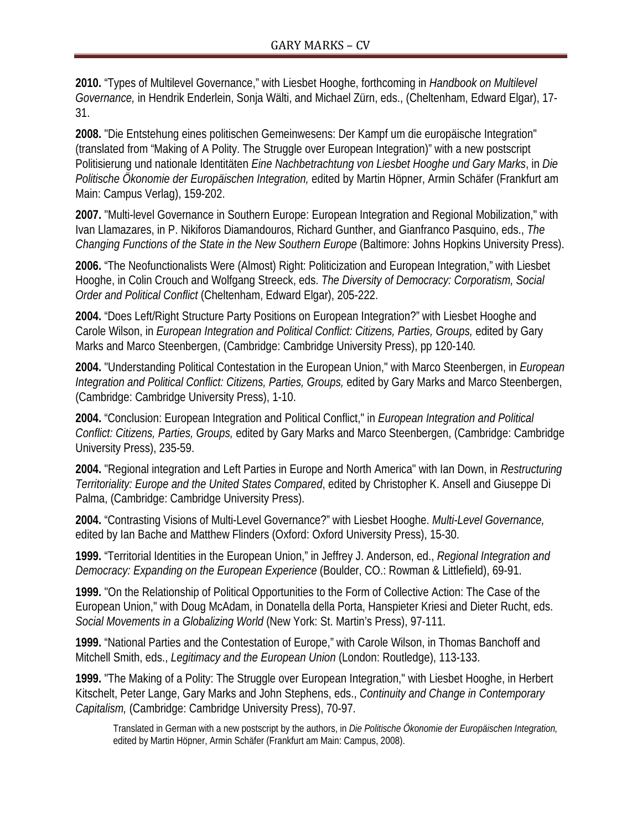**2010.** "Types of Multilevel Governance," with Liesbet Hooghe, forthcoming in *Handbook on Multilevel Governance,* in Hendrik Enderlein, Sonja Wälti, and Michael Zürn, eds., (Cheltenham, Edward Elgar), 17- 31.

**2008.** "Die Entstehung eines politischen Gemeinwesens: Der Kampf um die europäische Integration" (translated from "Making of A Polity. The Struggle over European Integration)" with a new postscript Politisierung und nationale Identitäten *Eine Nachbetrachtung von Liesbet Hooghe und Gary Marks*, in *Die Politische Ökonomie der Europäischen Integration,* edited by Martin Höpner, Armin Schäfer (Frankfurt am Main: Campus Verlag), 159-202.

**2007.** "Multi-level Governance in Southern Europe: European Integration and Regional Mobilization," with Ivan Llamazares, in P. Nikiforos Diamandouros, Richard Gunther, and Gianfranco Pasquino, eds., *The Changing Functions of the State in the New Southern Europe* (Baltimore: Johns Hopkins University Press).

**2006.** "The Neofunctionalists Were (Almost) Right: Politicization and European Integration," with Liesbet Hooghe, in Colin Crouch and Wolfgang Streeck, eds. *The Diversity of Democracy: Corporatism, Social Order and Political Conflict* (Cheltenham, Edward Elgar), 205-222.

**2004.** "Does Left/Right Structure Party Positions on European Integration?" with Liesbet Hooghe and Carole Wilson, in *European Integration and Political Conflict: Citizens, Parties, Groups,* edited by Gary Marks and Marco Steenbergen, (Cambridge: Cambridge University Press), pp 120-140*.*

**2004.** "Understanding Political Contestation in the European Union," with Marco Steenbergen, in *European Integration and Political Conflict: Citizens, Parties, Groups,* edited by Gary Marks and Marco Steenbergen, (Cambridge: Cambridge University Press), 1-10.

**2004.** "Conclusion: European Integration and Political Conflict," in *European Integration and Political Conflict: Citizens, Parties, Groups,* edited by Gary Marks and Marco Steenbergen, (Cambridge: Cambridge University Press), 235-59.

**2004.** "Regional integration and Left Parties in Europe and North America" with Ian Down, in *Restructuring Territoriality: Europe and the United States Compared*, edited by Christopher K. Ansell and Giuseppe Di Palma, (Cambridge: Cambridge University Press).

**2004.** "Contrasting Visions of Multi-Level Governance?" with Liesbet Hooghe. *Multi-Level Governance,* edited by Ian Bache and Matthew Flinders (Oxford: Oxford University Press), 15-30.

**1999.** "Territorial Identities in the European Union," in Jeffrey J. Anderson, ed., *Regional Integration and Democracy: Expanding on the European Experience* (Boulder, CO.: Rowman & Littlefield), 69-91.

**1999.** "On the Relationship of Political Opportunities to the Form of Collective Action: The Case of the European Union," with Doug McAdam, in Donatella della Porta, Hanspieter Kriesi and Dieter Rucht, eds. *Social Movements in a Globalizing World* (New York: St. Martin's Press), 97-111.

**1999.** "National Parties and the Contestation of Europe," with Carole Wilson, in Thomas Banchoff and Mitchell Smith, eds., *Legitimacy and the European Union* (London: Routledge), 113-133.

**1999.** "The Making of a Polity: The Struggle over European Integration," with Liesbet Hooghe, in Herbert Kitschelt, Peter Lange, Gary Marks and John Stephens, eds., *Continuity and Change in Contemporary Capitalism,* (Cambridge: Cambridge University Press), 70-97.

Translated in German with a new postscript by the authors, in *Die Politische Ökonomie der Europäischen Integration,*  edited by Martin Höpner, Armin Schäfer (Frankfurt am Main: Campus, 2008).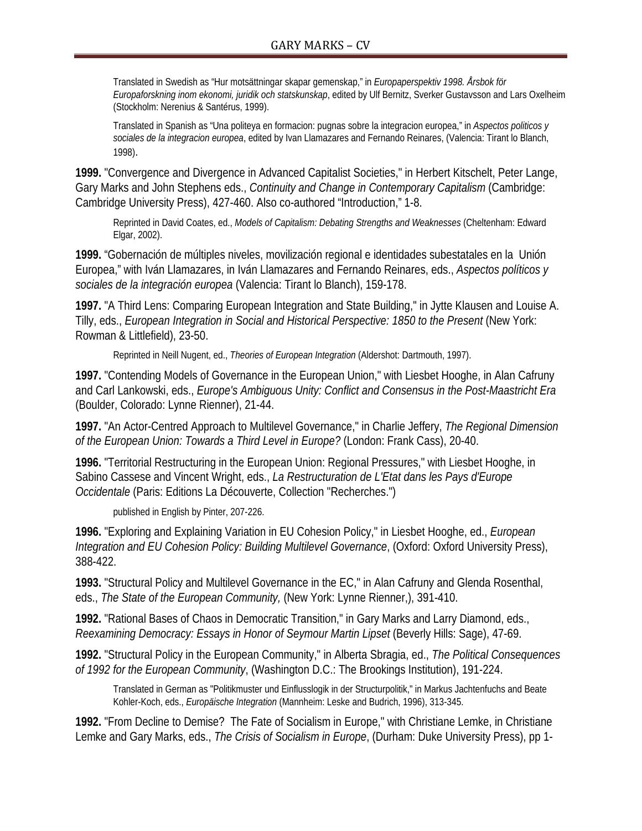Translated in Swedish as "Hur motsättningar skapar gemenskap," in *Europaperspektiv 1998. Årsbok för Europaforskning inom ekonomi, juridik och statskunskap*, edited by Ulf Bernitz, Sverker Gustavsson and Lars Oxelheim (Stockholm: Nerenius & Santérus, 1999).

Translated in Spanish as "Una politeya en formacion: pugnas sobre la integracion europea," in *Aspectos politicos y sociales de la integracion europea*, edited by Ivan Llamazares and Fernando Reinares, (Valencia: Tirant lo Blanch, 1998).

**1999.** "Convergence and Divergence in Advanced Capitalist Societies," in Herbert Kitschelt, Peter Lange, Gary Marks and John Stephens eds., *Continuity and Change in Contemporary Capitalism* (Cambridge: Cambridge University Press), 427-460. Also co-authored "Introduction," 1-8.

Reprinted in David Coates, ed., *Models of Capitalism: Debating Strengths and Weaknesses* (Cheltenham: Edward Elgar, 2002).

**1999.** "Gobernación de múltiples niveles, movilización regional e identidades subestatales en la Unión Europea," with Iván Llamazares, in Iván Llamazares and Fernando Reinares, eds., *Aspectos políticos y sociales de la integración europea* (Valencia: Tirant lo Blanch), 159-178.

**1997.** "A Third Lens: Comparing European Integration and State Building," in Jytte Klausen and Louise A. Tilly, eds., *European Integration in Social and Historical Perspective: 1850 to the Present* (New York: Rowman & Littlefield), 23-50.

Reprinted in Neill Nugent, ed., *Theories of European Integration* (Aldershot: Dartmouth, 1997).

**1997.** "Contending Models of Governance in the European Union," with Liesbet Hooghe, in Alan Cafruny and Carl Lankowski, eds., *Europe's Ambiguous Unity: Conflict and Consensus in the Post-Maastricht Era*  (Boulder, Colorado: Lynne Rienner), 21-44.

**1997.** "An Actor-Centred Approach to Multilevel Governance," in Charlie Jeffery, *The Regional Dimension of the European Union: Towards a Third Level in Europe?* (London: Frank Cass), 20-40.

**1996.** "Territorial Restructuring in the European Union: Regional Pressures," with Liesbet Hooghe, in Sabino Cassese and Vincent Wright, eds., *La Restructuration de L'Etat dans les Pays d'Europe Occidentale* (Paris: Editions La Découverte, Collection "Recherches.")

published in English by Pinter, 207-226.

**1996.** "Exploring and Explaining Variation in EU Cohesion Policy," in Liesbet Hooghe, ed., *European Integration and EU Cohesion Policy: Building Multilevel Governance*, (Oxford: Oxford University Press), 388-422.

**1993.** "Structural Policy and Multilevel Governance in the EC," in Alan Cafruny and Glenda Rosenthal, eds., *The State of the European Community,* (New York: Lynne Rienner,), 391-410.

**1992.** "Rational Bases of Chaos in Democratic Transition," in Gary Marks and Larry Diamond, eds., *Reexamining Democracy: Essays in Honor of Seymour Martin Lipset* (Beverly Hills: Sage), 47-69.

**1992.** "Structural Policy in the European Community," in Alberta Sbragia, ed., *The Political Consequences of 1992 for the European Community*, (Washington D.C.: The Brookings Institution), 191-224.

Translated in German as "Politikmuster und Einflusslogik in der Structurpolitik," in Markus Jachtenfuchs and Beate Kohler-Koch, eds., *Europäische Integration* (Mannheim: Leske and Budrich, 1996), 313-345.

**1992.** "From Decline to Demise? The Fate of Socialism in Europe," with Christiane Lemke, in Christiane Lemke and Gary Marks, eds., *The Crisis of Socialism in Europe*, (Durham: Duke University Press), pp 1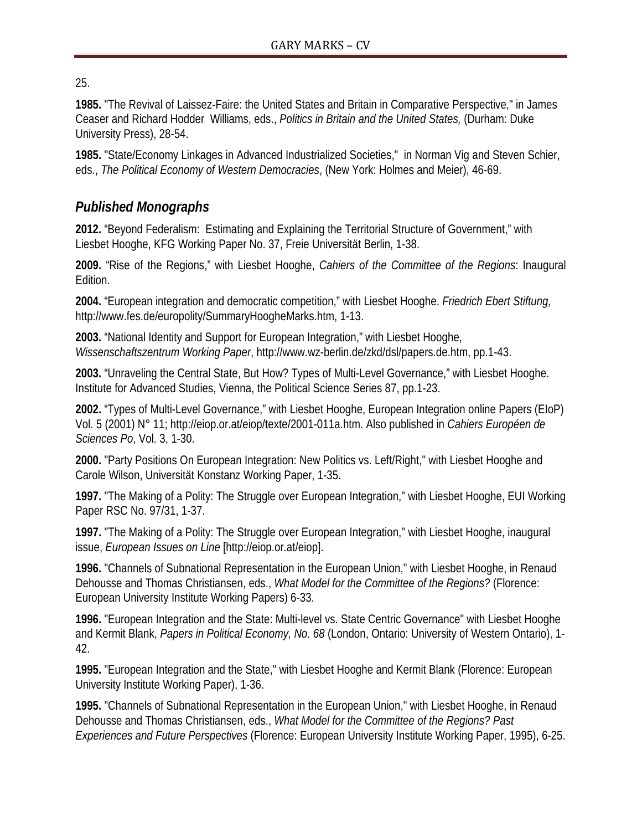25.

**1985.** "The Revival of Laissez-Faire: the United States and Britain in Comparative Perspective," in James Ceaser and Richard Hodder Williams, eds., *Politics in Britain and the United States,* (Durham: Duke University Press), 28-54.

**1985.** "State/Economy Linkages in Advanced Industrialized Societies," in Norman Vig and Steven Schier, eds., *The Political Economy of Western Democracies*, (New York: Holmes and Meier), 46-69.

### *Published Monographs*

**2012.** "Beyond Federalism: Estimating and Explaining the Territorial Structure of Government," with Liesbet Hooghe, KFG Working Paper No. 37, Freie Universität Berlin, 1-38.

**2009.** "Rise of the Regions," with Liesbet Hooghe, *Cahiers of the Committee of the Regions*: Inaugural Edition.

**2004.** "European integration and democratic competition," with Liesbet Hooghe. *Friedrich Ebert Stiftung,* [http://www.fes.de/europolity/SummaryHoogheMarks.htm,](http://www.fes.de/europolity/SummaryHoogheMarks.htm) 1-13.

**2003.** "National Identity and Support for European Integration," with Liesbet Hooghe, *Wissenschaftszentrum Working Paper*, http://www.wz-berlin.de/zkd/dsl/papers.de.htm, pp.1-43.

**2003.** "Unraveling the Central State, But How? Types of Multi-Level Governance," with Liesbet Hooghe. Institute for Advanced Studies, Vienna, the Political Science Series 87, pp.1-23.

**2002.** "Types of Multi-Level Governance," with Liesbet Hooghe, European Integration online Papers (EIoP) Vol. 5 (2001) N° 11; http://eiop.or.at/eiop/texte/2001-011a.htm. Also published in *Cahiers Européen de Sciences Po*, Vol. 3, 1-30.

**2000.** "Party Positions On European Integration: New Politics vs. Left/Right," with Liesbet Hooghe and Carole Wilson, Universität Konstanz Working Paper, 1-35.

**1997.** "The Making of a Polity: The Struggle over European Integration," with Liesbet Hooghe, EUI Working Paper RSC No. 97/31, 1-37.

**1997.** "The Making of a Polity: The Struggle over European Integration," with Liesbet Hooghe, inaugural issue, *European Issues on Line* [http://eiop.or.at/eiop].

**1996.** "Channels of Subnational Representation in the European Union," with Liesbet Hooghe, in Renaud Dehousse and Thomas Christiansen, eds., *What Model for the Committee of the Regions?* (Florence: European University Institute Working Papers) 6-33.

**1996.** "European Integration and the State: Multi-level vs. State Centric Governance" with Liesbet Hooghe and Kermit Blank, *Papers in Political Economy, No. 68* (London, Ontario: University of Western Ontario), 1- 42.

**1995.** "European Integration and the State," with Liesbet Hooghe and Kermit Blank (Florence: European University Institute Working Paper), 1-36.

**1995.** "Channels of Subnational Representation in the European Union," with Liesbet Hooghe, in Renaud Dehousse and Thomas Christiansen, eds., *What Model for the Committee of the Regions? Past Experiences and Future Perspectives* (Florence: European University Institute Working Paper, 1995), 6-25.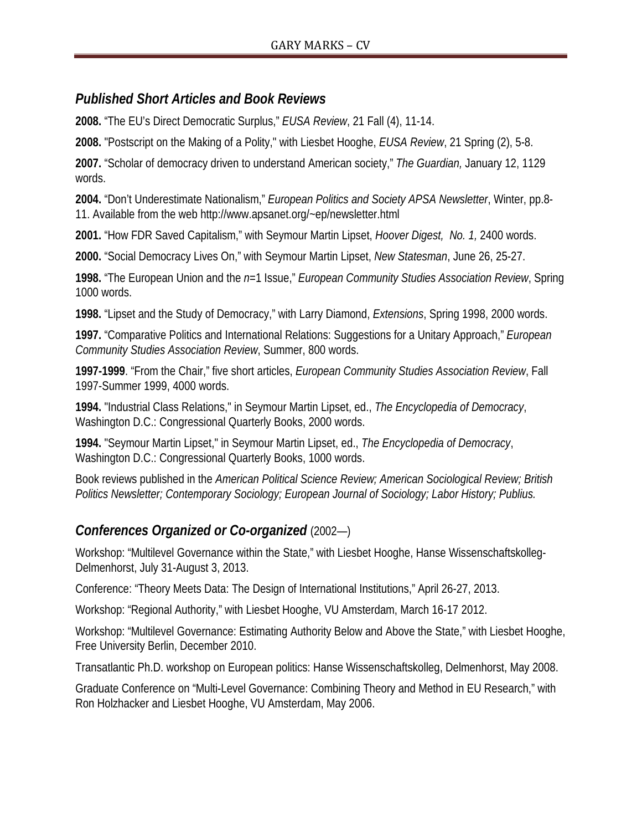#### *Published Short Articles and Book Reviews*

**2008.** "The EU's Direct Democratic Surplus," *EUSA Review*, 21 Fall (4), 11-14.

**2008.** "Postscript on the Making of a Polity," with Liesbet Hooghe, *EUSA Review*, 21 Spring (2), 5-8.

**2007.** "Scholar of democracy driven to understand American society," *The Guardian,* January 12, 1129 words.

**2004.** "Don't Underestimate Nationalism," *European Politics and Society APSA Newsletter*, Winter, pp.8- 11. Available from the web http://www.apsanet.org/~ep/newsletter.html

**2001.** "How FDR Saved Capitalism," with Seymour Martin Lipset, *Hoover Digest, No. 1,* 2400 words.

**2000.** "Social Democracy Lives On," with Seymour Martin Lipset, *New Statesman*, June 26, 25-27.

**1998.** "The European Union and the *n*=1 Issue," *European Community Studies Association Review*, Spring 1000 words.

**1998.** "Lipset and the Study of Democracy," with Larry Diamond, *Extensions*, Spring 1998, 2000 words.

**1997.** "Comparative Politics and International Relations: Suggestions for a Unitary Approach," *European Community Studies Association Review*, Summer, 800 words.

**1997-1999**. "From the Chair," five short articles, *European Community Studies Association Review*, Fall 1997-Summer 1999, 4000 words.

**1994.** "Industrial Class Relations," in Seymour Martin Lipset, ed., *The Encyclopedia of Democracy*, Washington D.C.: Congressional Quarterly Books, 2000 words.

**1994.** "Seymour Martin Lipset," in Seymour Martin Lipset, ed., *The Encyclopedia of Democracy*, Washington D.C.: Congressional Quarterly Books, 1000 words.

Book reviews published in the *American Political Science Review; American Sociological Review; British Politics Newsletter; Contemporary Sociology; European Journal of Sociology; Labor History; Publius.*

#### *Conferences Organized or Co-organized* (2002—)

Workshop: "Multilevel Governance within the State," with Liesbet Hooghe, Hanse Wissenschaftskolleg-Delmenhorst, July 31-August 3, 2013.

Conference: "Theory Meets Data: The Design of International Institutions," April 26-27, 2013.

Workshop: "Regional Authority," with Liesbet Hooghe, VU Amsterdam, March 16-17 2012.

Workshop: "Multilevel Governance: Estimating Authority Below and Above the State," with Liesbet Hooghe, Free University Berlin, December 2010.

Transatlantic Ph.D. workshop on European politics: Hanse Wissenschaftskolleg, Delmenhorst, May 2008.

Graduate Conference on "Multi-Level Governance: Combining Theory and Method in EU Research," with Ron Holzhacker and Liesbet Hooghe, VU Amsterdam, May 2006.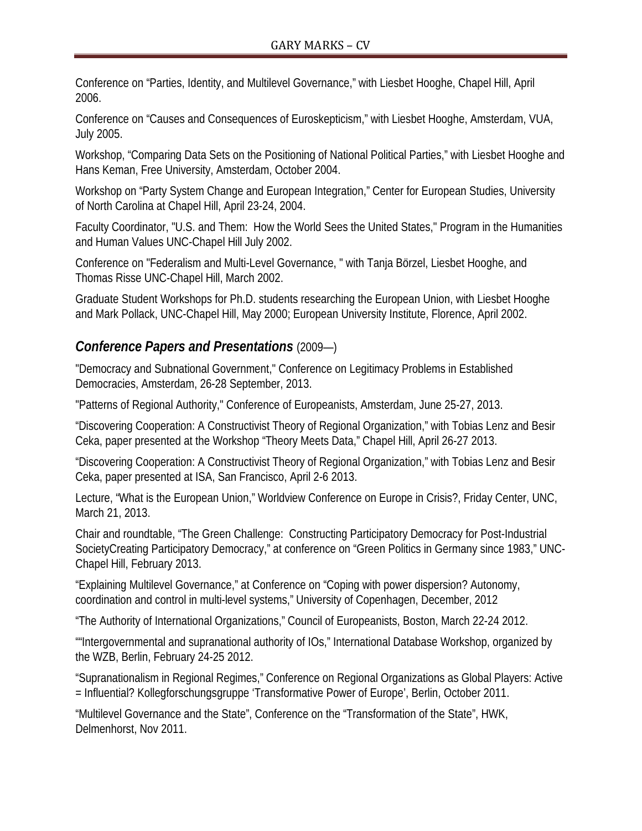Conference on "Parties, Identity, and Multilevel Governance," with Liesbet Hooghe, Chapel Hill, April 2006.

Conference on "Causes and Consequences of Euroskepticism," with Liesbet Hooghe, Amsterdam, VUA, July 2005.

Workshop, "Comparing Data Sets on the Positioning of National Political Parties," with Liesbet Hooghe and Hans Keman, Free University, Amsterdam, October 2004.

Workshop on "Party System Change and European Integration," Center for European Studies, University of North Carolina at Chapel Hill, April 23-24, 2004.

Faculty Coordinator, "U.S. and Them: How the World Sees the United States," Program in the Humanities and Human Values UNC-Chapel Hill July 2002.

Conference on "Federalism and Multi-Level Governance, " with Tanja Börzel, Liesbet Hooghe, and Thomas Risse UNC-Chapel Hill, March 2002.

Graduate Student Workshops for Ph.D. students researching the European Union, with Liesbet Hooghe and Mark Pollack, UNC-Chapel Hill, May 2000; European University Institute, Florence, April 2002.

#### *Conference Papers and Presentations* (2009—)

"Democracy and Subnational Government," Conference on Legitimacy Problems in Established Democracies, Amsterdam, 26-28 September, 2013.

"Patterns of Regional Authority," Conference of Europeanists, Amsterdam, June 25-27, 2013.

"Discovering Cooperation: A Constructivist Theory of Regional Organization," with Tobias Lenz and Besir Ceka, paper presented at the Workshop "Theory Meets Data," Chapel Hill, April 26-27 2013.

"Discovering Cooperation: A Constructivist Theory of Regional Organization," with Tobias Lenz and Besir Ceka, paper presented at ISA, San Francisco, April 2-6 2013.

Lecture, "What is the European Union," Worldview Conference on Europe in Crisis?, Friday Center, UNC, March 21, 2013.

Chair and roundtable, "The Green Challenge: Constructing Participatory Democracy for Post-Industrial SocietyCreating Participatory Democracy," at conference on "Green Politics in Germany since 1983," UNC-Chapel Hill, February 2013.

"Explaining Multilevel Governance," at Conference on "Coping with power dispersion? Autonomy, coordination and control in multi-level systems," University of Copenhagen, December, 2012

"The Authority of International Organizations," Council of Europeanists, Boston, March 22-24 2012.

""Intergovernmental and supranational authority of IOs," International Database Workshop, organized by the WZB, Berlin, February 24-25 2012.

"Supranationalism in Regional Regimes," Conference on Regional Organizations as Global Players: Active = Influential? Kollegforschungsgruppe 'Transformative Power of Europe', Berlin, October 2011.

"Multilevel Governance and the State", Conference on the "Transformation of the State", HWK, Delmenhorst, Nov 2011.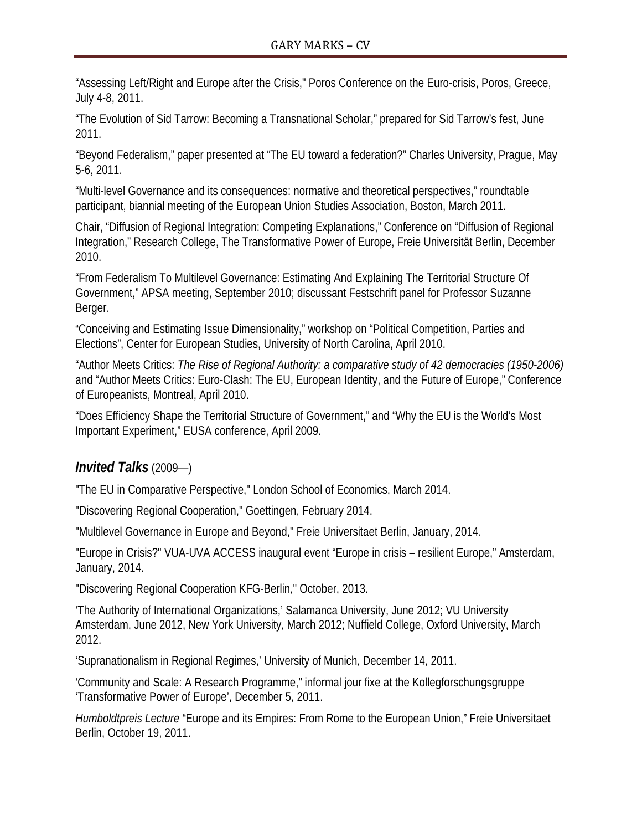"Assessing Left/Right and Europe after the Crisis," Poros Conference on the Euro-crisis, Poros, Greece, July 4-8, 2011.

"The Evolution of Sid Tarrow: Becoming a Transnational Scholar," prepared for Sid Tarrow's fest, June 2011.

"Beyond Federalism," paper presented at "The EU toward a federation?" Charles University, Prague, May 5-6, 2011.

"Multi-level Governance and its consequences: normative and theoretical perspectives," roundtable participant, biannial meeting of the European Union Studies Association, Boston, March 2011.

Chair, "Diffusion of Regional Integration: Competing Explanations," Conference on "Diffusion of Regional Integration," Research College, The Transformative Power of Europe, Freie Universität Berlin, December 2010.

"From Federalism To Multilevel Governance: Estimating And Explaining The Territorial Structure Of Government," APSA meeting, September 2010; discussant Festschrift panel for Professor Suzanne Berger.

"Conceiving and Estimating Issue Dimensionality," workshop on "Political Competition, Parties and Elections", Center for European Studies, University of North Carolina, April 2010.

"Author Meets Critics: *The Rise of Regional Authority: a comparative study of 42 democracies (1950-2006)* and "Author Meets Critics: Euro-Clash: The EU, European Identity, and the Future of Europe," Conference of Europeanists, Montreal, April 2010.

"Does Efficiency Shape the Territorial Structure of Government," and "Why the EU is the World's Most Important Experiment," EUSA conference, April 2009.

# *Invited Talks* (2009—)

"The EU in Comparative Perspective," London School of Economics, March 2014.

"Discovering Regional Cooperation," Goettingen, February 2014.

"Multilevel Governance in Europe and Beyond," Freie Universitaet Berlin, January, 2014.

"Europe in Crisis?" VUA-UVA ACCESS inaugural event "Europe in crisis – resilient Europe," Amsterdam, January, 2014.

"Discovering Regional Cooperation KFG-Berlin," October, 2013.

'The Authority of International Organizations,' Salamanca University, June 2012; VU University Amsterdam, June 2012, New York University, March 2012; Nuffield College, Oxford University, March 2012.

'Supranationalism in Regional Regimes,' University of Munich, December 14, 2011.

'Community and Scale: A Research Programme," informal jour fixe at the Kollegforschungsgruppe 'Transformative Power of Europe', December 5, 2011.

*Humboldtpreis Lecture* "Europe and its Empires: From Rome to the European Union," Freie Universitaet Berlin, October 19, 2011.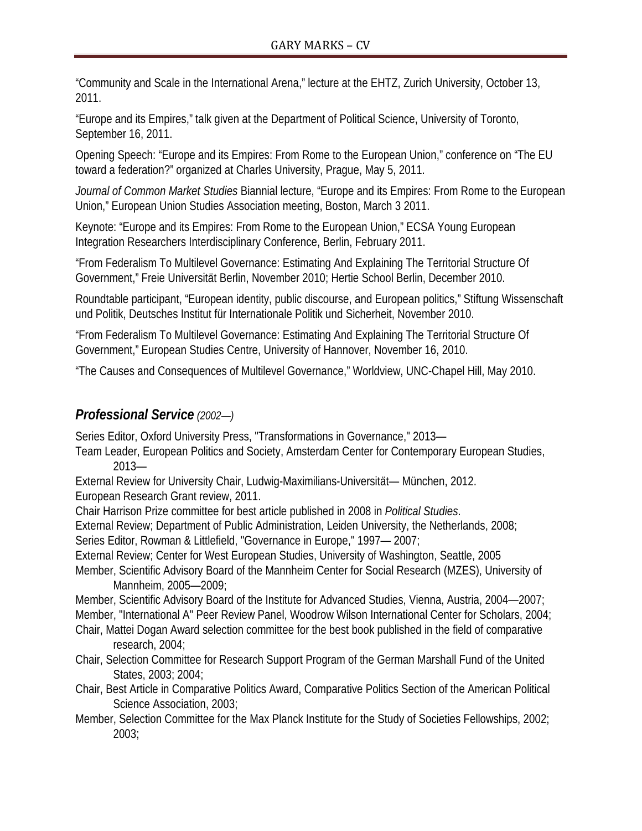"Community and Scale in the International Arena," lecture at the EHTZ, Zurich University, October 13, 2011.

"Europe and its Empires," talk given at the Department of Political Science, University of Toronto, September 16, 2011.

Opening Speech: "Europe and its Empires: From Rome to the European Union," conference on "The EU toward a federation?" organized at Charles University, Prague, May 5, 2011.

*Journal of Common Market Studies* Biannial lecture, "Europe and its Empires: From Rome to the European Union," European Union Studies Association meeting, Boston, March 3 2011.

Keynote: "Europe and its Empires: From Rome to the European Union," ECSA Young European Integration Researchers Interdisciplinary Conference, Berlin, February 2011.

"From Federalism To Multilevel Governance: Estimating And Explaining The Territorial Structure Of Government," Freie Universität Berlin, November 2010; Hertie School Berlin, December 2010.

Roundtable participant, "European identity, public discourse, and European politics," Stiftung Wissenschaft und Politik, Deutsches Institut für Internationale Politik und Sicherheit, November 2010.

"From Federalism To Multilevel Governance: Estimating And Explaining The Territorial Structure Of Government," European Studies Centre, University of Hannover, November 16, 2010.

"The Causes and Consequences of Multilevel Governance," Worldview, UNC-Chapel Hill, May 2010.

#### *Professional Service (2002—)*

Series Editor, Oxford University Press, "Transformations in Governance," 2013—

Team Leader, European Politics and Society, Amsterdam Center for Contemporary European Studies, 2013—

External Review for University Chair, Ludwig-Maximilians-Universität— München, 2012. European Research Grant review, 2011.

Chair Harrison Prize committee for best article published in 2008 in *Political Studies*.

External Review; Department of Public Administration, Leiden University, the Netherlands, 2008;

Series Editor, Rowman & Littlefield, "Governance in Europe," 1997— 2007;

External Review; Center for West European Studies, University of Washington, Seattle, 2005

Member, Scientific Advisory Board of the Mannheim Center for Social Research (MZES), University of Mannheim, 2005—2009;

Member, Scientific Advisory Board of the Institute for Advanced Studies, Vienna, Austria, 2004—2007; Member, "International A" Peer Review Panel, Woodrow Wilson International Center for Scholars, 2004;

Chair, Mattei Dogan Award selection committee for the best book published in the field of comparative research, 2004;

Chair, Selection Committee for Research Support Program of the German Marshall Fund of the United States, 2003; 2004;

Chair, Best Article in Comparative Politics Award, Comparative Politics Section of the American Political Science Association, 2003;

Member, Selection Committee for the Max Planck Institute for the Study of Societies Fellowships, 2002; 2003;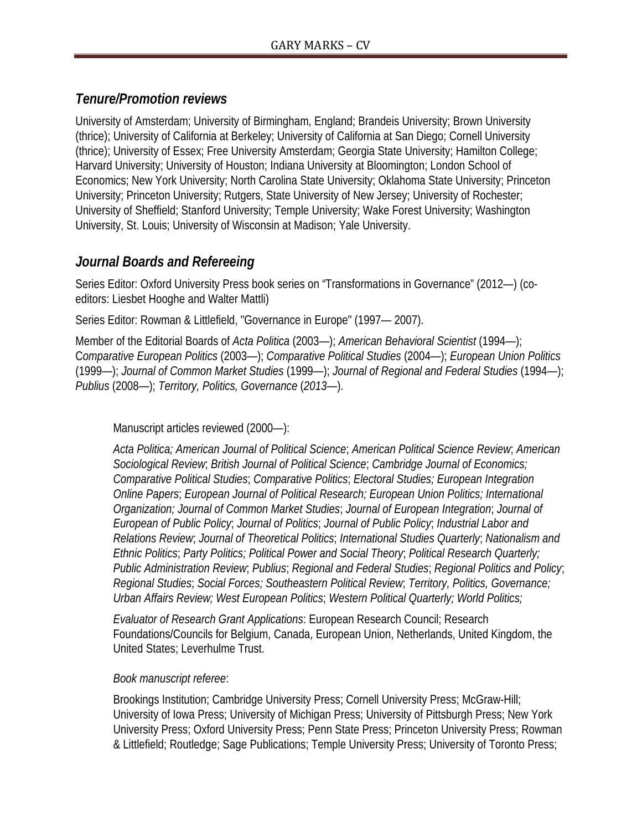#### *Tenure/Promotion reviews*

University of Amsterdam; University of Birmingham, England; Brandeis University; Brown University (thrice); University of California at Berkeley; University of California at San Diego; Cornell University (thrice); University of Essex; Free University Amsterdam; Georgia State University; Hamilton College; Harvard University; University of Houston; Indiana University at Bloomington; London School of Economics; New York University; North Carolina State University; Oklahoma State University; Princeton University; Princeton University; Rutgers, State University of New Jersey; University of Rochester; University of Sheffield; Stanford University; Temple University; Wake Forest University; Washington University, St. Louis; University of Wisconsin at Madison; Yale University.

#### *Journal Boards and Refereeing*

Series Editor: Oxford University Press book series on "Transformations in Governance" (2012—) (coeditors: Liesbet Hooghe and Walter Mattli)

Series Editor: Rowman & Littlefield, "Governance in Europe" (1997— 2007).

Member of the Editorial Boards of *Acta Politica* (2003—); *American Behavioral Scientist* (1994—); C*omparative European Politics* (2003—); *Comparative Political Studies* (2004—); *European Union Politics* (1999—); *Journal of Common Market Studies* (1999—); *Journal of Regional and Federal Studies* (1994—); *Publius* (2008—); *Territory, Politics, Governance* (*2013—*).

Manuscript articles reviewed (2000—):

*Acta Politica; American Journal of Political Science*; *American Political Science Review*; *American Sociological Review*; *British Journal of Political Science*; *Cambridge Journal of Economics; Comparative Political Studies*; *Comparative Politics*; *Electoral Studies; European Integration Online Papers*; *European Journal of Political Research; European Union Politics; International Organization; Journal of Common Market Studies*; *Journal of European Integration*; *Journal of European of Public Policy*; *Journal of Politics*; *Journal of Public Policy*; *Industrial Labor and Relations Review*; *Journal of Theoretical Politics*; *International Studies Quarterly*; *Nationalism and Ethnic Politics*; *Party Politics; Political Power and Social Theory*; *Political Research Quarterly; Public Administration Review*; *Publius*; *Regional and Federal Studies*; *Regional Politics and Policy*; *Regional Studies*; *Social Forces; Southeastern Political Review*; *Territory, Politics, Governance; Urban Affairs Review; West European Politics*; *Western Political Quarterly; World Politics;*

*Evaluator of Research Grant Applications*: European Research Council; Research Foundations/Councils for Belgium, Canada, European Union, Netherlands, United Kingdom, the United States; Leverhulme Trust.

#### *Book manuscript referee*:

Brookings Institution; Cambridge University Press; Cornell University Press; McGraw-Hill; University of Iowa Press; University of Michigan Press; University of Pittsburgh Press; New York University Press; Oxford University Press; Penn State Press; Princeton University Press; Rowman & Littlefield; Routledge; Sage Publications; Temple University Press; University of Toronto Press;